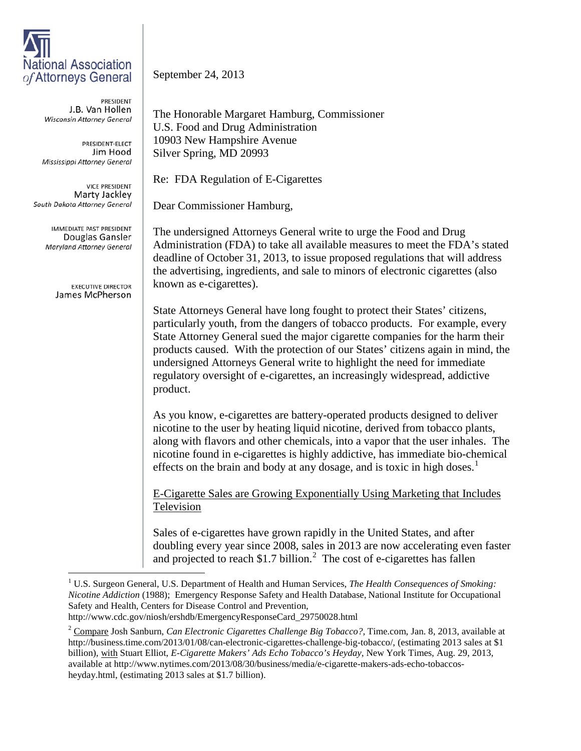## **National Association** of Attorneys General

PRESIDENT J.B. Van Hollen Wisconsin Attorney General

PRESIDENT-ELECT Jim Hood Mississippi Attorney General

**VICE PRESIDENT** Marty Jackley South Dakota Attorney General

> **IMMEDIATE PAST PRESIDENT** Douglas Gansler Maryland Attorney General

> > **EXECUTIVE DIRECTOR** James McPherson

September 24, 2013

The Honorable Margaret Hamburg, Commissioner U.S. Food and Drug Administration 10903 New Hampshire Avenue Silver Spring, MD 20993

Re: FDA Regulation of E-Cigarettes

Dear Commissioner Hamburg,

The undersigned Attorneys General write to urge the Food and Drug Administration (FDA) to take all available measures to meet the FDA's stated deadline of October 31, 2013, to issue proposed regulations that will address the advertising, ingredients, and sale to minors of electronic cigarettes (also known as e-cigarettes).

State Attorneys General have long fought to protect their States' citizens, particularly youth, from the dangers of tobacco products. For example, every State Attorney General sued the major cigarette companies for the harm their products caused. With the protection of our States' citizens again in mind, the undersigned Attorneys General write to highlight the need for immediate regulatory oversight of e-cigarettes, an increasingly widespread, addictive product.

As you know, e-cigarettes are battery-operated products designed to deliver nicotine to the user by heating liquid nicotine, derived from tobacco plants, along with flavors and other chemicals, into a vapor that the user inhales. The nicotine found in e-cigarettes is highly addictive, has immediate bio-chemical effects on the brain and body at any dosage, and is toxic in high doses.<sup>[1](#page-0-0)</sup>

E-Cigarette Sales are Growing Exponentially Using Marketing that Includes Television

Sales of e-cigarettes have grown rapidly in the United States, and after doubling every year since 2008, sales in 2013 are now accelerating even faster and projected to reach \$1.7 billion. $^2$  $^2$  The cost of e-cigarettes has fallen

<span id="page-0-0"></span><sup>&</sup>lt;sup>1</sup> U.S. Surgeon General, U.S. Department of Health and Human Services, *The Health Consequences of Smoking: Nicotine Addiction* (1988); Emergency Response Safety and Health Database, National Institute for Occupational Safety and Health, Centers for Disease Control and Prevention,

http://www.cdc.gov/niosh/ershdb/EmergencyResponseCard\_29750028.html

<span id="page-0-1"></span><sup>2</sup> Compare Josh Sanburn, *Can Electronic Cigarettes Challenge Big Tobacco?*, Time.com, Jan. 8, 2013, available at http://business.time.com/2013/01/08/can-electronic-cigarettes-challenge-big-tobacco/, (estimating 2013 sales at \$1 billion), with Stuart Elliot, *E-Cigarette Makers' Ads Echo Tobacco's Heyday*, New York Times, Aug. 29, 2013, available at http://www.nytimes.com/2013/08/30/business/media/e-cigarette-makers-ads-echo-tobaccosheyday.html, (estimating 2013 sales at \$1.7 billion).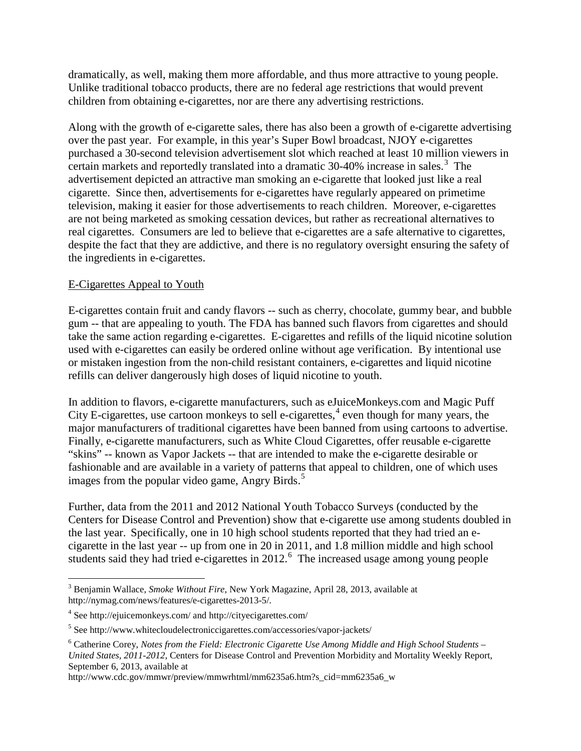dramatically, as well, making them more affordable, and thus more attractive to young people. Unlike traditional tobacco products, there are no federal age restrictions that would prevent children from obtaining e-cigarettes, nor are there any advertising restrictions.

Along with the growth of e-cigarette sales, there has also been a growth of e-cigarette advertising over the past year. For example, in this year's Super Bowl broadcast, NJOY e-cigarettes purchased a 30-second television advertisement slot which reached at least 10 million viewers in certain markets and reportedly translated into a dramatic  $30-40\%$  $30-40\%$  increase in sales.<sup>3</sup> The advertisement depicted an attractive man smoking an e-cigarette that looked just like a real cigarette. Since then, advertisements for e-cigarettes have regularly appeared on primetime television, making it easier for those advertisements to reach children. Moreover, e-cigarettes are not being marketed as smoking cessation devices, but rather as recreational alternatives to real cigarettes. Consumers are led to believe that e-cigarettes are a safe alternative to cigarettes, despite the fact that they are addictive, and there is no regulatory oversight ensuring the safety of the ingredients in e-cigarettes.

## E-Cigarettes Appeal to Youth

E-cigarettes contain fruit and candy flavors -- such as cherry, chocolate, gummy bear, and bubble gum -- that are appealing to youth. The FDA has banned such flavors from cigarettes and should take the same action regarding e-cigarettes. E-cigarettes and refills of the liquid nicotine solution used with e-cigarettes can easily be ordered online without age verification. By intentional use or mistaken ingestion from the non-child resistant containers, e-cigarettes and liquid nicotine refills can deliver dangerously high doses of liquid nicotine to youth.

In addition to flavors, e-cigarette manufacturers, such as eJuiceMonkeys.com and Magic Puff City E-cigarettes, use cartoon monkeys to sell e-cigarettes, $4$  even though for many years, the major manufacturers of traditional cigarettes have been banned from using cartoons to advertise. Finally, e-cigarette manufacturers, such as White Cloud Cigarettes, offer reusable e-cigarette "skins" -- known as Vapor Jackets -- that are intended to make the e-cigarette desirable or fashionable and are available in a variety of patterns that appeal to children, one of which uses images from the popular video game, Angry Birds.<sup>[5](#page-1-2)</sup>

Further, data from the 2011 and 2012 National Youth Tobacco Surveys (conducted by the Centers for Disease Control and Prevention) show that e-cigarette use among students doubled in the last year. Specifically, one in 10 high school students reported that they had tried an ecigarette in the last year -- up from one in 20 in 2011, and 1.8 million middle and high school students said they had tried e-cigarettes in 2012.<sup>[6](#page-1-3)</sup> The increased usage among young people

http://www.cdc.gov/mmwr/preview/mmwrhtml/mm6235a6.htm?s\_cid=mm6235a6\_w

<span id="page-1-0"></span> <sup>3</sup> Benjamin Wallace, *Smoke Without Fire*, New York Magazine, April 28, 2013, available at http://nymag.com/news/features/e-cigarettes-2013-5/.

<span id="page-1-1"></span><sup>4</sup> See http://ejuicemonkeys.com/ and http://cityecigarettes.com/

<span id="page-1-2"></span><sup>5</sup> See http://www.whitecloudelectroniccigarettes.com/accessories/vapor-jackets/

<span id="page-1-3"></span><sup>6</sup> Catherine Corey, *Notes from the Field: Electronic Cigarette Use Among Middle and High School Students – United States, 2011-2012,* Centers for Disease Control and Prevention Morbidity and Mortality Weekly Report, September 6, 2013, available at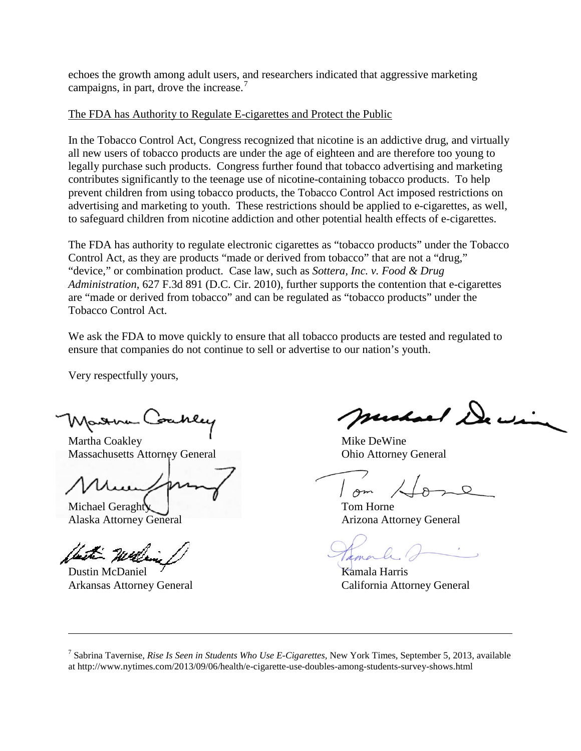echoes the growth among adult users, and researchers indicated that aggressive marketing campaigns, in part, drove the increase.<sup>[7](#page-2-0)</sup>

## The FDA has Authority to Regulate E-cigarettes and Protect the Public

In the Tobacco Control Act, Congress recognized that nicotine is an addictive drug, and virtually all new users of tobacco products are under the age of eighteen and are therefore too young to legally purchase such products. Congress further found that tobacco advertising and marketing contributes significantly to the teenage use of nicotine-containing tobacco products. To help prevent children from using tobacco products, the Tobacco Control Act imposed restrictions on advertising and marketing to youth. These restrictions should be applied to e-cigarettes, as well, to safeguard children from nicotine addiction and other potential health effects of e-cigarettes.

The FDA has authority to regulate electronic cigarettes as "tobacco products" under the Tobacco Control Act, as they are products "made or derived from tobacco" that are not a "drug," "device," or combination product. Case law, such as *Sottera, Inc. v. Food & Drug Administration*, 627 F.3d 891 (D.C. Cir. 2010), further supports the contention that e-cigarettes are "made or derived from tobacco" and can be regulated as "tobacco products" under the Tobacco Control Act.

We ask the FDA to move quickly to ensure that all tobacco products are tested and regulated to ensure that companies do not continue to sell or advertise to our nation's youth.

Very respectfully yours,

Martha Coakley **Mike DeWine** Massachusetts Attorney General Ohio Attorney General

Michael Geraghty  $\blacksquare$  Tom Horne

with West

 $\overline{a}$ 

Dustin McDaniel X and Alexander Kamala Harris

Carl Dec

Am

Alaska Attorney General Arizona Attorney General

Arkansas Attorney General California Attorney General

<span id="page-2-0"></span><sup>7</sup> Sabrina Tavernise, *Rise Is Seen in Students Who Use E-Cigarettes,* New York Times, September 5, 2013, available at http://www.nytimes.com/2013/09/06/health/e-cigarette-use-doubles-among-students-survey-shows.html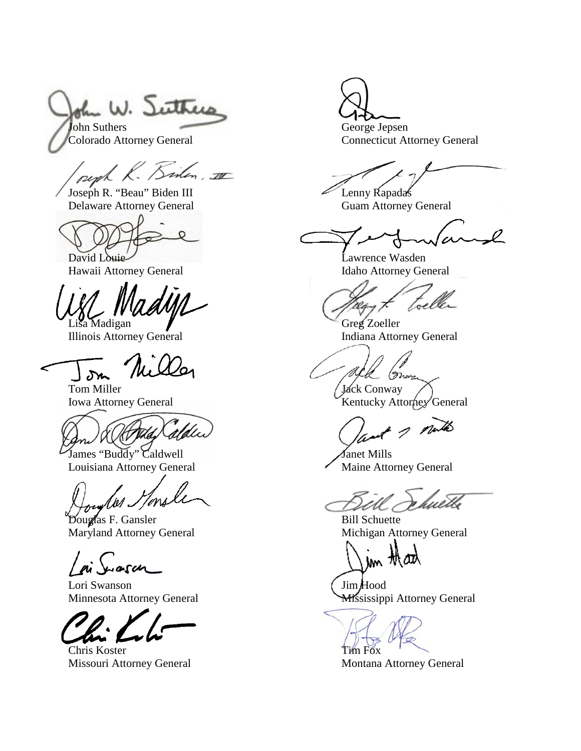he W. Suthers John Suthers George Jepsen

peph K. Sinten, III

Joseph R. "Beau" Biden III Lenny Rapadas Delaware Attorney General Guam Attorney General

David Louie Lawrence Wasden

Illinois Attorney General

 $\delta r$ 

Tom Miller Tom Miller (Jack Conway Iowa Attorney General Venetic Act of Texas Attorney General Venetic Act of Texas Atto

James "Buddy" Caldwell Janet Mills Louisiana Attorney General Maine Attorney General

7ms 1 se 1

Sugardis F. Gansler<br>
Maryland Attorney General<br>
Michigan Attorney General<br>
Michigan Attorney General Maryland Attorney General

arch

Lori Swanson (Jim Hood

Chris Koster Tim Fox Missouri Attorney General Montana Attorney General

Colorado Attorney General Connecticut Attorney General

 $\varphi$ 

Hawaii Attorney General Idaho Attorney General

Madigan Greg Zoeller<br>
is Attorney General Greg Zoeller<br>
Indiana Attorney General

(Mwa

Kentucky Attorney General

2 notes

wetb

jm thad

Minnesota Attorney General **Mississippi Attorney General**